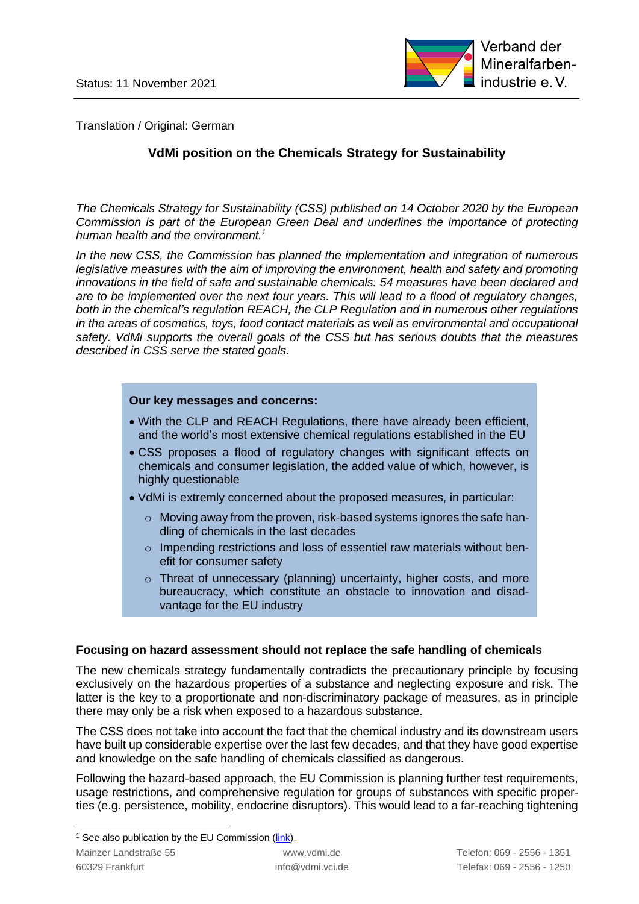

Translation / Original: German

# **VdMi position on the Chemicals Strategy for Sustainability**

*The Chemicals Strategy for Sustainability (CSS) published on 14 October 2020 by the European Commission is part of the European Green Deal and underlines the importance of protecting human health and the environment. 1*

*In the new CSS, the Commission has planned the implementation and integration of numerous legislative measures with the aim of improving the environment, health and safety and promoting innovations in the field of safe and sustainable chemicals. 54 measures have been declared and are to be implemented over the next four years. This will lead to a flood of regulatory changes, both in the chemical's regulation REACH, the CLP Regulation and in numerous other regulations in the areas of cosmetics, toys, food contact materials as well as environmental and occupational safety. VdMi supports the overall goals of the CSS but has serious doubts that the measures described in CSS serve the stated goals.*

#### **Our key messages and concerns:**

- With the CLP and REACH Regulations, there have already been efficient, and the world's most extensive chemical regulations established in the EU
- CSS proposes a flood of regulatory changes with significant effects on chemicals and consumer legislation, the added value of which, however, is highly questionable
- VdMi is extremly concerned about the proposed measures, in particular:
	- o Moving away from the proven, risk-based systems ignores the safe handling of chemicals in the last decades
	- o Impending restrictions and loss of essentiel raw materials without benefit for consumer safety
	- o Threat of unnecessary (planning) uncertainty, higher costs, and more bureaucracy, which constitute an obstacle to innovation and disadvantage for the EU industry

#### **Focusing on hazard assessment should not replace the safe handling of chemicals**

The new chemicals strategy fundamentally contradicts the precautionary principle by focusing exclusively on the hazardous properties of a substance and neglecting exposure and risk. The latter is the key to a proportionate and non-discriminatory package of measures, as in principle there may only be a risk when exposed to a hazardous substance.

The CSS does not take into account the fact that the chemical industry and its downstream users have built up considerable expertise over the last few decades, and that they have good expertise and knowledge on the safe handling of chemicals classified as dangerous.

Following the hazard-based approach, the EU Commission is planning further test requirements, usage restrictions, and comprehensive regulation for groups of substances with specific properties (e.g. persistence, mobility, endocrine disruptors). This would lead to a far-reaching tightening

 $1$  See also publication by the EU Commission [\(link\)](https://ec.europa.eu/environment/strategy/chemicals-strategy_en).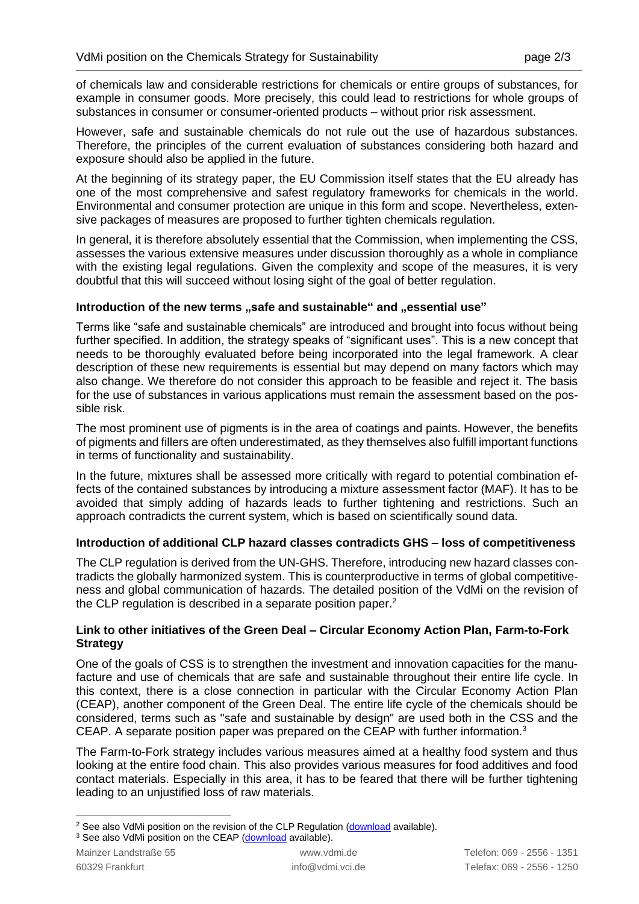of chemicals law and considerable restrictions for chemicals or entire groups of substances, for example in consumer goods. More precisely, this could lead to restrictions for whole groups of substances in consumer or consumer-oriented products – without prior risk assessment.

However, safe and sustainable chemicals do not rule out the use of hazardous substances. Therefore, the principles of the current evaluation of substances considering both hazard and exposure should also be applied in the future.

At the beginning of its strategy paper, the EU Commission itself states that the EU already has one of the most comprehensive and safest regulatory frameworks for chemicals in the world. Environmental and consumer protection are unique in this form and scope. Nevertheless, extensive packages of measures are proposed to further tighten chemicals regulation.

In general, it is therefore absolutely essential that the Commission, when implementing the CSS, assesses the various extensive measures under discussion thoroughly as a whole in compliance with the existing legal regulations. Given the complexity and scope of the measures, it is very doubtful that this will succeed without losing sight of the goal of better regulation.

#### Introduction of the new terms ..safe and sustainable" and ..essential use"

Terms like "safe and sustainable chemicals" are introduced and brought into focus without being further specified. In addition, the strategy speaks of "significant uses". This is a new concept that needs to be thoroughly evaluated before being incorporated into the legal framework. A clear description of these new requirements is essential but may depend on many factors which may also change. We therefore do not consider this approach to be feasible and reject it. The basis for the use of substances in various applications must remain the assessment based on the possible risk.

The most prominent use of pigments is in the area of coatings and paints. However, the benefits of pigments and fillers are often underestimated, as they themselves also fulfill important functions in terms of functionality and sustainability.

In the future, mixtures shall be assessed more critically with regard to potential combination effects of the contained substances by introducing a mixture assessment factor (MAF). It has to be avoided that simply adding of hazards leads to further tightening and restrictions. Such an approach contradicts the current system, which is based on scientifically sound data.

## **Introduction of additional CLP hazard classes contradicts GHS – loss of competitiveness**

The CLP regulation is derived from the UN-GHS. Therefore, introducing new hazard classes contradicts the globally harmonized system. This is counterproductive in terms of global competitiveness and global communication of hazards. The detailed position of the VdMi on the revision of the CLP regulation is described in a separate position paper.<sup>2</sup>

### **Link to other initiatives of the Green Deal – Circular Economy Action Plan, Farm-to-Fork Strategy**

One of the goals of CSS is to strengthen the investment and innovation capacities for the manufacture and use of chemicals that are safe and sustainable throughout their entire life cycle. In this context, there is a close connection in particular with the Circular Economy Action Plan (CEAP), another component of the Green Deal. The entire life cycle of the chemicals should be considered, terms such as "safe and sustainable by design" are used both in the CSS and the CEAP. A separate position paper was prepared on the CEAP with further information.<sup>3</sup>

The Farm-to-Fork strategy includes various measures aimed at a healthy food system and thus looking at the entire food chain. This also provides various measures for food additives and food contact materials. Especially in this area, it has to be feared that there will be further tightening leading to an unjustified loss of raw materials.

<sup>&</sup>lt;sup>2</sup> See also VdMi position on the revision of the CLP Regulation [\(download](https://eurocolour.org/media/20210526_eurocolour_position_clp-revision.pdf) available).

<sup>&</sup>lt;sup>3</sup> See also VdMi position on the CEAP [\(download](https://www.vdmi.de/de/informationsmaterial/positionspapiere-publikationen/?filename=vdmi_position_on_the_circular_economy_action_plan_within_eu_green_deal.pdf) available).